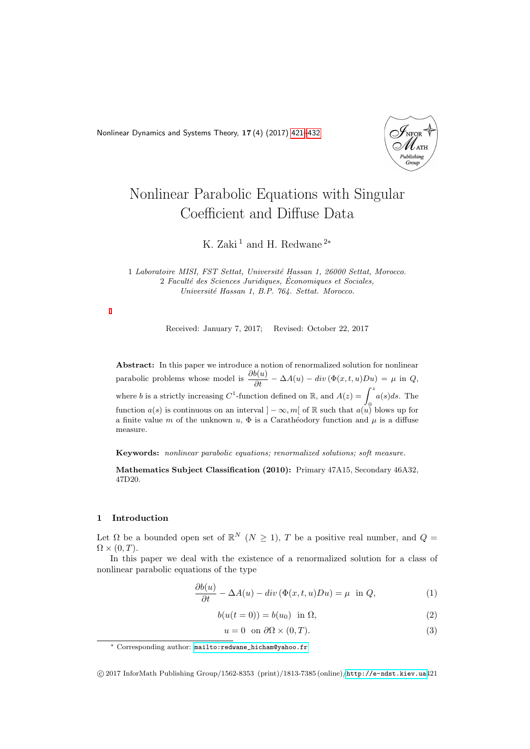<span id="page-0-0"></span>Nonlinear Dynamics and Systems Theory, 17 (4) (2017) [421–](#page-0-0)[432](#page-11-0)



# Nonlinear Parabolic Equations with Singular Coefficient and Diffuse Data

K. Zaki<sup>1</sup> and H. Redwane<sup>2\*</sup>

1 Laboratoire MISI, FST Settat, Université Hassan 1, 26000 Settat, Morocco. 2 Faculté des Sciences Juridiques, Économiques et Sociales, Université Hassan 1, B.P. 764. Settat. Morocco.

Received: January 7, 2017; Revised: October 22, 2017

Abstract: In this paper we introduce a notion of renormalized solution for nonlinear parabolic problems whose model is  $\frac{\partial b(u)}{\partial t} - \Delta A(u) - div \left( \Phi(x, t, u)Du \right) = \mu$  in Q, where b is a strictly increasing  $C^1$ -function defined on R, and  $A(z) = \int^z a(s)ds$ . The function  $a(s)$  is continuous on an interval  $]-\infty, m[$  of R such that  $a(u)$  blows up for a finite value m of the unknown  $u, \Phi$  is a Carathéodory function and  $\mu$  is a diffuse measure.

Keywords: nonlinear parabolic equations; renormalized solutions; soft measure.

Mathematics Subject Classification (2010): Primary 47A15, Secondary 46A32, 47D20.

#### 1 Introduction

Let  $\Omega$  be a bounded open set of  $\mathbb{R}^N$   $(N \geq 1)$ , T be a positive real number, and  $Q =$  $\Omega \times (0,T)$ .

In this paper we deal with the existence of a renormalized solution for a class of nonlinear parabolic equations of the type

<span id="page-0-1"></span>
$$
\frac{\partial b(u)}{\partial t} - \Delta A(u) - div(\Phi(x, t, u)Du) = \mu \text{ in } Q,
$$
\n(1)

$$
b(u(t=0)) = b(u_0) \text{ in } \Omega,
$$
\n<sup>(2)</sup>

<span id="page-0-2"></span>
$$
u = 0 \quad \text{on } \partial\Omega \times (0, T). \tag{3}
$$

<sup>∗</sup> Corresponding author: [mailto:redwane\\_hicham@yahoo.fr](mailto: redwane_hicham@yahoo.fr)

c 2017 InforMath Publishing Group/1562-8353 (print)/1813-7385 (online)/<http://e-ndst.kiev.ua>421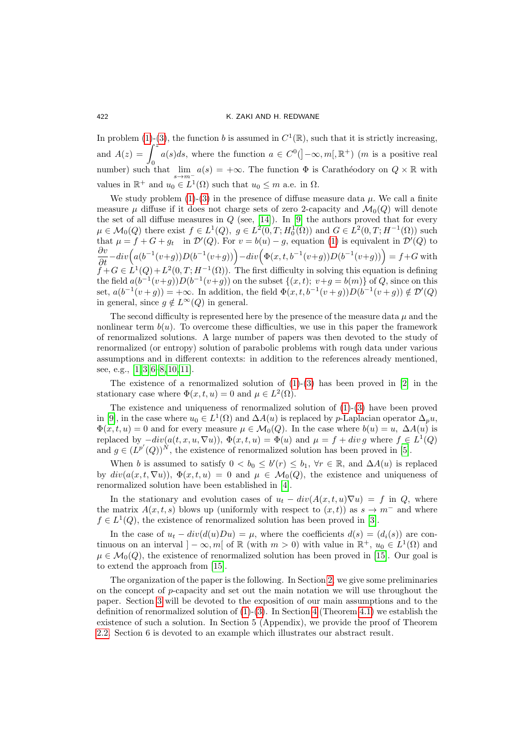In problem [\(1\)](#page-0-1)-[\(3\)](#page-0-2), the function b is assumed in  $C^1(\mathbb{R})$ , such that it is strictly increasing, and  $A(z) = \int^{z}$  $\mathbf{0}$  $a(s)ds$ , where the function  $a \in C^0([- \infty,m[, \mathbb{R}^+)$  (*m* is a positive real number) such that  $\lim_{s\to m^-} a(s) = +\infty$ . The function  $\Phi$  is Carathéodory on  $Q \times \mathbb{R}$  with values in  $\mathbb{R}^+$  and  $u_0 \in L^1(\Omega)$  such that  $u_0 \leq m$  a.e. in  $\Omega$ .

We study problem  $(1)-(3)$  $(1)-(3)$  in the presence of diffuse measure data  $\mu$ . We call a finite measure  $\mu$  diffuse if it does not charge sets of zero 2-capacity and  $\mathcal{M}_0(Q)$  will denote the set of all diffuse measures in  $Q$  (see, [\[14\]](#page-11-1)). In [\[9\]](#page-11-2) the authors proved that for every  $\mu \in \mathcal{M}_0(Q)$  there exist  $f \in L^1(Q)$ ,  $g \in L^2(0,T; H_0^1(\Omega))$  and  $G \in L^2(0,T; H^{-1}(\Omega))$  such that  $\mu = f + G + g_t$  in  $\mathcal{D}'(Q)$ . For  $v = b(u) - g$ , equation [\(1\)](#page-0-1) is equivalent in  $\mathcal{D}'(Q)$  to  $\frac{\partial v}{\partial t} - div \Big( a (b^{-1}(v+g)) D (b^{-1}(v+g)) \Big) - div \Big( \Phi(x, t, b^{-1}(v+g)) D (b^{-1}(v+g)) \Big) = f+G$  with  $\tilde{f} + G \in L^1(Q) + L^2(0,T; H^{-1}(\Omega))$ . The first difficulty in solving this equation is defining the field  $a(b^{-1}(v+g))D(b^{-1}(v+g))$  on the subset  $\{(x,t); v+g = b(m)\}\$  of Q, since on this set,  $a(b^{-1}(v+g)) = +\infty$ . In addition, the field  $\Phi(x,t,b^{-1}(v+g))D(b^{-1}(v+g)) \notin \mathcal{D}'(Q)$ in general, since  $g \notin L^{\infty}(Q)$  in general.

The second difficulty is represented here by the presence of the measure data  $\mu$  and the nonlinear term  $b(u)$ . To overcome these difficulties, we use in this paper the framework of renormalized solutions. A large number of papers was then devoted to the study of renormalized (or entropy) solution of parabolic problems with rough data under various assumptions and in different contexts: in addition to the references already mentioned, see, e.g., [\[1,](#page-11-3) [3,](#page-11-4) [6–](#page-11-5)[8,](#page-11-6) [10,](#page-11-7) [11\]](#page-11-8).

The existence of a renormalized solution of  $(1)-(3)$  $(1)-(3)$  has been proved in  $[2]$  in the stationary case where  $\Phi(x, t, u) = 0$  and  $\mu \in L^2(\Omega)$ .

The existence and uniqueness of renormalized solution of [\(1\)](#page-0-1)-[\(3\)](#page-0-2) have been proved in [\[9\]](#page-11-2), in the case where  $u_0 \in L^1(\Omega)$  and  $\Delta A(u)$  is replaced by *p*-Laplacian operator  $\Delta_p u$ ,  $\Phi(x, t, u) = 0$  and for every measure  $\mu \in \mathcal{M}_0(Q)$ . In the case where  $b(u) = u$ ,  $\Delta A(u)$  is replaced by  $-div(a(t, x, u, \nabla u)), \Phi(x, t, u) = \Phi(u)$  and  $\mu = f + div g$  where  $f \in L^1(Q)$ and  $g \in (L^{p'}(Q))^{N}$ , the existence of renormalized solution has been proved in [\[5\]](#page-11-10).

When b is assumed to satisfy  $0 < b_0 \le b'(r) \le b_1$ ,  $\forall r \in \mathbb{R}$ , and  $\Delta A(u)$  is replaced by  $div(a(x, t, \nabla u))$ ,  $\Phi(x, t, u) = 0$  and  $\mu \in \mathcal{M}_0(Q)$ , the existence and uniqueness of renormalized solution have been established in [\[4\]](#page-11-11).

In the stationary and evolution cases of  $u_t - div(A(x,t,u)\nabla u) = f$  in Q, where the matrix  $A(x, t, s)$  blows up (uniformly with respect to  $(x, t)$ ) as  $s \to m^-$  and where  $f \in L^1(Q)$ , the existence of renormalized solution has been proved in [\[3\]](#page-11-4).

In the case of  $u_t - div(d(u)Du) = \mu$ , where the coefficients  $d(s) = (d_i(s))$  are continuous on an interval  $]-\infty, m[$  of  $\mathbb R$  (with  $m>0$ ) with value in  $\mathbb R^+$ ,  $u_0 \in L^1(\Omega)$  and  $\mu \in \mathcal{M}_0(Q)$ , the existence of renormalized solution has been proved in [\[15\]](#page-11-12). Our goal is to extend the approach from [\[15\]](#page-11-12).

The organization of the paper is the following. In Section [2,](#page-2-0) we give some preliminaries on the concept of  $p$ -capacity and set out the main notation we will use throughout the paper. Section [3](#page-3-0) will be devoted to the exposition of our main assumptions and to the definition of renormalized solution of  $(1)-(3)$  $(1)-(3)$ . In Section [4](#page-4-0) (Theorem [4.1\)](#page-4-1) we establish the existence of such a solution. In Section 5 (Appendix), we provide the proof of Theorem [2.2.](#page-2-1) Section 6 is devoted to an example which illustrates our abstract result.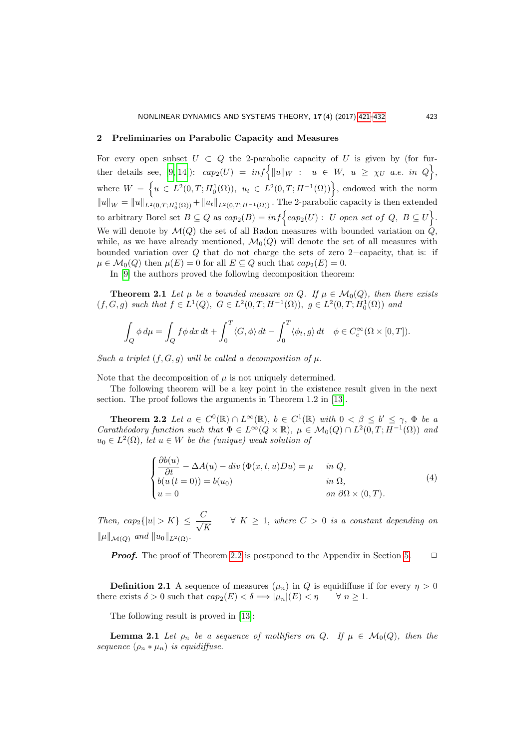#### <span id="page-2-0"></span>2 Preliminaries on Parabolic Capacity and Measures

For every open subset  $U \subset Q$  the 2-parabolic capacity of U is given by (for fur-ther details see, [\[9,](#page-11-2) [14\]](#page-11-1)):  $cap_2(U) = inf \{ ||u||_W : u \in W, u \ge \chi_U \text{ a.e. in } Q \},$ where  $W = \left\{ u \in L^2(0,T;H_0^1(\Omega)), u_t \in L^2(0,T;H^{-1}(\Omega)) \right\}$ , endowed with the norm  $||u||_W = ||u||_{L^2(0,T;H_0^1(\Omega))} + ||u_t||_{L^2(0,T;H^{-1}(\Omega))}$ . The 2-parabolic capacity is then extended to arbitrary Borel set  $B \subseteq Q$  as  $cap_2(B) = inf \{ cap_2(U) : U \text{ open set of } Q, B \subseteq U \}.$ We will denote by  $\mathcal{M}(Q)$  the set of all Radon measures with bounded variation on  $\hat{Q}$ , while, as we have already mentioned,  $\mathcal{M}_0(Q)$  will denote the set of all measures with bounded variation over Q that do not charge the sets of zero 2−capacity, that is: if  $\mu \in \mathcal{M}_0(Q)$  then  $\mu(E) = 0$  for all  $E \subseteq Q$  such that  $cap_2(E) = 0$ .

In [\[9\]](#page-11-2) the authors proved the following decomposition theorem:

**Theorem 2.1** Let  $\mu$  be a bounded measure on Q. If  $\mu \in \mathcal{M}_0(Q)$ , then there exists  $(f, G, g)$  such that  $f \in L^1(Q)$ ,  $G \in L^2(0, T; H^{-1}(\Omega))$ ,  $g \in L^2(0, T; H_0^1(\Omega))$  and

$$
\int_{Q} \phi \, d\mu = \int_{Q} f \phi \, dx \, dt + \int_{0}^{T} \langle G, \phi \rangle \, dt - \int_{0}^{T} \langle \phi_t, g \rangle \, dt \quad \phi \in C_c^{\infty}(\Omega \times [0, T]).
$$

Such a triplet  $(f, G, g)$  will be called a decomposition of  $\mu$ .

Note that the decomposition of  $\mu$  is not uniquely determined.

The following theorem will be a key point in the existence result given in the next section. The proof follows the arguments in Theorem 1.2 in [\[13\]](#page-11-13).

**Theorem 2.2** Let  $a \in C^0(\mathbb{R}) \cap L^{\infty}(\mathbb{R})$ ,  $b \in C^1(\mathbb{R})$  with  $0 < \beta \leq b' \leq \gamma$ ,  $\Phi$  be a Carathéodory function such that  $\Phi \in L^{\infty}(Q \times \mathbb{R})$ ,  $\mu \in \mathcal{M}_0(Q) \cap L^2(0,T; H^{-1}(\Omega))$  and  $u_0 \in L^2(\Omega)$ , let  $u \in W$  be the (unique) weak solution of

<span id="page-2-2"></span><span id="page-2-1"></span>
$$
\begin{cases}\n\frac{\partial b(u)}{\partial t} - \Delta A(u) - div(\Phi(x, t, u)Du) = \mu & \text{in } Q, \\
b(u(t = 0)) = b(u_0) & \text{in } \Omega, \\
u = 0 & \text{on } \partial\Omega \times (0, T).\n\end{cases}
$$
\n(4)

Then,  $cap_2\{|u| > K\} \leq \frac{C}{\sqrt{2}}$ K  $\forall K \geq 1$ , where  $C > 0$  is a constant depending on  $\|\mu\|_{\mathcal{M}(Q)}$  and  $\|u_0\|_{L^2(\Omega)}$ .

**Proof.** The proof of Theorem [2.2](#page-2-1) is postponed to the Appendix in Section [5.](#page-9-0)  $\Box$ 

**Definition 2.1** A sequence of measures  $(\mu_n)$  in Q is equidiffuse if for every  $\eta > 0$ there exists  $\delta > 0$  such that  $cap_2(E) < \delta \Longrightarrow |\mu_n|(E) < \eta \quad \forall n \geq 1$ .

The following result is proved in [\[13\]](#page-11-13):

**Lemma 2.1** Let  $\rho_n$  be a sequence of mollifiers on Q. If  $\mu \in \mathcal{M}_0(Q)$ , then the sequence  $(\rho_n * \mu_n)$  is equidiffuse.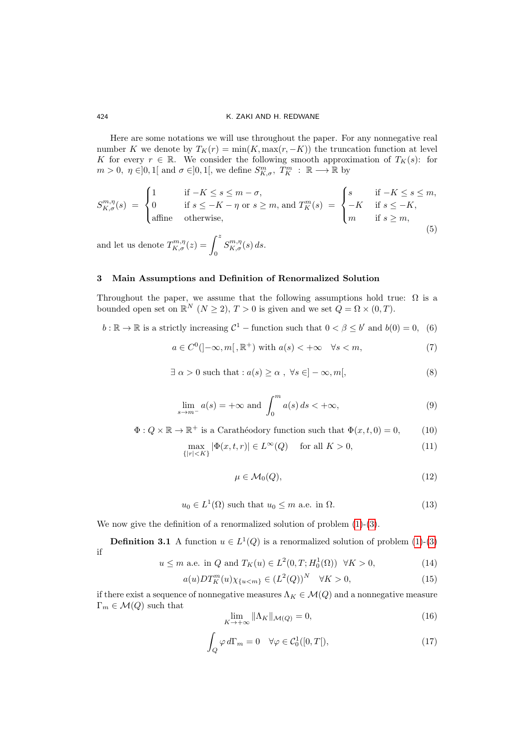Here are some notations we will use throughout the paper. For any nonnegative real number K we denote by  $T_K(r) = \min(K, \max(r, -K))$  the truncation function at level K for every  $r \in \mathbb{R}$ . We consider the following smooth approximation of  $T_K(s)$ : for  $m > 0, \ \eta \in ]0,1[$  and  $\sigma \in ]0,1[$ , we define  $S^m_{K,\sigma}, T^m_K : \mathbb{R} \longrightarrow \mathbb{R}$  by

<span id="page-3-10"></span>
$$
S_{K,\sigma}^{m,\eta}(s) = \begin{cases} 1 & \text{if } -K \le s \le m-\sigma, \\ 0 & \text{if } s \le -K-\eta \text{ or } s \ge m \text{, and } T_K^m(s) = \begin{cases} s & \text{if } -K \le s \le m, \\ -K & \text{if } s \le -K, \\ m & \text{if } s \ge m, \end{cases} \end{cases} \tag{5}
$$

and let us denote  $T_{K,\sigma}^{m,\eta}(z) = \int_0^z$  $S^{m,\eta}_{K,\sigma}(s)$  ds.

# <span id="page-3-0"></span>3 Main Assumptions and Definition of Renormalized Solution

Throughout the paper, we assume that the following assumptions hold true:  $\Omega$  is a bounded open set on  $\mathbb{R}^N$   $(N \geq 2)$ ,  $T > 0$  is given and we set  $Q = \Omega \times (0, T)$ .

<span id="page-3-5"></span>
$$
b: \mathbb{R} \to \mathbb{R}
$$
 is a strictly increasing  $\mathcal{C}^1$  – function such that  $0 < \beta \leq b'$  and  $b(0) = 0$ , (6)

<span id="page-3-8"></span>
$$
a \in C^{0}([-\infty, m[ , \mathbb{R}^{+}) \text{ with } a(s) < +\infty \quad \forall s < m,
$$
\n
$$
(7)
$$

$$
\exists \alpha > 0 \text{ such that}: a(s) \ge \alpha , \forall s \in ]-\infty, m[,
$$
 (8)

<span id="page-3-9"></span>
$$
\lim_{s \to m^{-}} a(s) = +\infty \text{ and } \int_{0}^{m} a(s) ds < +\infty,
$$
\n(9)

$$
\Phi: Q \times \mathbb{R} \to \mathbb{R}^+ \text{ is a Carathéodory function such that } \Phi(x, t, 0) = 0,
$$
 (10)

$$
\max_{\{|r| < K\}} |\Phi(x, t, r)| \in L^{\infty}(Q) \quad \text{ for all } K > 0,\tag{11}
$$

<span id="page-3-7"></span>
$$
\mu \in \mathcal{M}_0(Q),\tag{12}
$$

<span id="page-3-6"></span>
$$
u_0 \in L^1(\Omega) \text{ such that } u_0 \le m \text{ a.e. in } \Omega. \tag{13}
$$

We now give the definition of a renormalized solution of problem  $(1)-(3)$  $(1)-(3)$ .

**Definition 3.1** A function  $u \in L^1(Q)$  is a renormalized solution of problem [\(1\)](#page-0-1)-[\(3\)](#page-0-2) if

<span id="page-3-1"></span>
$$
u \le m
$$
 a.e. in Q and  $T_K(u) \in L^2(0, T; H_0^1(\Omega)) \quad \forall K > 0,$  (14)

<span id="page-3-2"></span>
$$
a(u)DT_K^m(u)\chi_{\{u0,\tag{15}
$$

if there exist a sequence of nonnegative measures  $\Lambda_K \in \mathcal{M}(Q)$  and a nonnegative measure  $\Gamma_m \in \mathcal{M}(Q)$  such that

<span id="page-3-3"></span>
$$
\lim_{K \to +\infty} \|\Lambda_K\|_{\mathcal{M}(Q)} = 0,\tag{16}
$$

<span id="page-3-4"></span>
$$
\int_{Q} \varphi \, d\Gamma_m = 0 \quad \forall \varphi \in \mathcal{C}_0^1([0, T]), \tag{17}
$$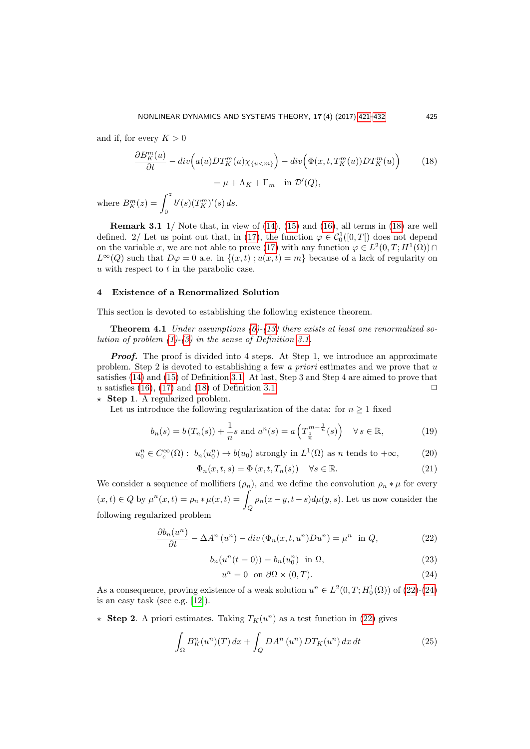and if, for every  $K > 0$ 

<span id="page-4-2"></span>
$$
\frac{\partial B_K^m(u)}{\partial t} - div \Big( a(u) DT_K^m(u) \chi_{\{u < m\}} \Big) - div \Big( \Phi(x, t, T_K^m(u)) DT_K^m(u) \Big) \tag{18}
$$
\n
$$
= \mu + \Lambda_K + \Gamma_m \quad \text{in } \mathcal{D}'(Q),
$$

where  $B_K^m(z) = \int_0^z$  $b'(s)(T_K^m)'(s) ds.$ 

**Remark 3.1** 1/ Note that, in view of  $(14)$ ,  $(15)$  and  $(16)$ , all terms in  $(18)$  are well defined. 2/ Let us point out that, in [\(17\)](#page-3-4), the function  $\varphi \in C_0^1([0,T])$  does not depend on the variable x, we are not able to prove [\(17\)](#page-3-4) with any function  $\varphi \in L^2(0,T;H^1(\Omega))$  $L^{\infty}(Q)$  such that  $D\varphi = 0$  a.e. in  $\{(x, t) : u(x, t) = m\}$  because of a lack of regularity on u with respect to  $t$  in the parabolic case.

### <span id="page-4-0"></span>4 Existence of a Renormalized Solution

This section is devoted to establishing the following existence theorem.

**Theorem 4.1** Under assumptions  $(6)-(13)$  $(6)-(13)$  $(6)-(13)$  there exists at least one renormalized solution of problem  $(1)-(3)$  $(1)-(3)$  $(1)-(3)$  in the sense of Definition [3.1.](#page-3-7)

**Proof.** The proof is divided into 4 steps. At Step 1, we introduce an approximate problem. Step 2 is devoted to establishing a few a priori estimates and we prove that  $u$ satisfies [\(14\)](#page-3-1) and [\(15\)](#page-3-2) of Definition [3.1.](#page-3-7) At last, Step 3 and Step 4 are aimed to prove that u satisfies [\(16\)](#page-3-3), [\(17\)](#page-3-4) and [\(18\)](#page-4-2) of Definition [3.1.](#page-3-7)  $\Box$ 

 $\star$  **Step 1.** A regularized problem.

Let us introduce the following regularization of the data: for  $n \geq 1$  fixed

<span id="page-4-5"></span>
$$
b_n(s) = b(T_n(s)) + \frac{1}{n}s \text{ and } a^n(s) = a\left(T^{m-\frac{1}{n}}_{\frac{1}{n}}(s)\right) \quad \forall s \in \mathbb{R},
$$
 (19)

<span id="page-4-6"></span>
$$
u_0^n \in C_c^{\infty}(\Omega): b_n(u_0^n) \to b(u_0) \text{ strongly in } L^1(\Omega) \text{ as } n \text{ tends to } +\infty,
$$
 (20)

$$
\Phi_n(x,t,s) = \Phi(x,t,T_n(s)) \quad \forall s \in \mathbb{R}.\tag{21}
$$

We consider a sequence of mollifiers  $(\rho_n)$ , and we define the convolution  $\rho_n * \mu$  for every  $(x,t) \in Q$  by  $\mu^n(x,t) = \rho_n * \mu(x,t) = \int_Q \rho_n(x-y,t-s)d\mu(y,s)$ . Let us now consider the following regularized problem

<span id="page-4-3"></span>
$$
\frac{\partial b_n(u^n)}{\partial t} - \Delta A^n(u^n) - div(\Phi_n(x, t, u^n)Du^n) = \mu^n \text{ in } Q,
$$
\n(22)

$$
b_n(u^n(t=0)) = b_n(u_0^n) \quad \text{in } \Omega,\tag{23}
$$

<span id="page-4-4"></span>
$$
u^n = 0 \quad \text{on } \partial\Omega \times (0, T). \tag{24}
$$

As a consequence, proving existence of a weak solution  $u^n \in L^2(0,T;H_0^1(\Omega))$  of  $(22)-(24)$  $(22)-(24)$ is an easy task (see e.g. [\[12\]](#page-11-14)).

 $\star$  Step 2. A priori estimates. Taking  $T_K(u^n)$  as a test function in [\(22\)](#page-4-3) gives

$$
\int_{\Omega} B_K^n(u^n)(T) dx + \int_Q DA^n(u^n) DT_K(u^n) dx dt \tag{25}
$$

<span id="page-4-1"></span>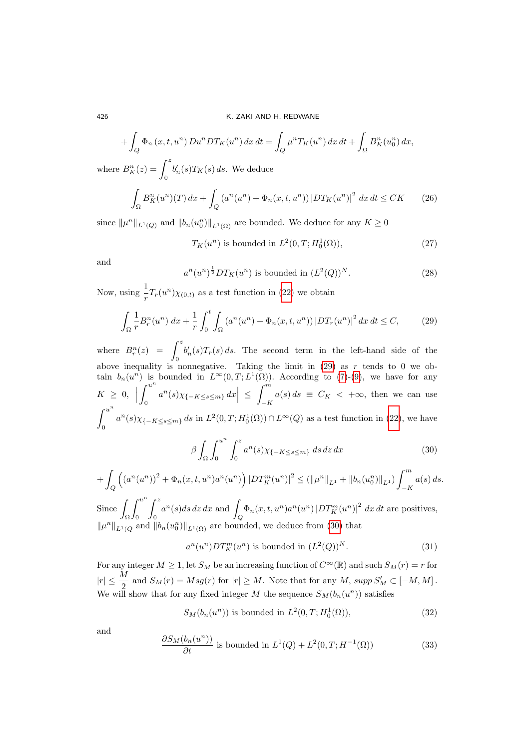$$
+ \int_Q \Phi_n(x, t, u^n) D u^n D T_K(u^n) dx dt = \int_Q \mu^n T_K(u^n) dx dt + \int_{\Omega} B_K^n(u_0^n) dx,
$$

where  $B_K^n(z) = \int_0^z$  $b'_n(s)T_K(s) ds$ . We deduce

$$
\int_{\Omega} B_K^n(u^n)(T) \, dx + \int_Q \left( a^n(u^n) + \Phi_n(x, t, u^n) \right) |DT_K(u^n)|^2 \, dx \, dt \leq CK \tag{26}
$$

since  $\|\mu^n\|_{L^1(Q)}$  and  $\|b_n(u_0^n)\|_{L^1(\Omega)}$  are bounded. We deduce for any  $K \geq 0$ 

<span id="page-5-2"></span> $T_K(u^n)$  is bounded in  $L^2(0,T; H_0^1(\Omega))$ , (27)

and

<span id="page-5-5"></span>
$$
a^{n}(u^{n})^{\frac{1}{2}}DT_{K}(u^{n})
$$
 is bounded in  $(L^{2}(Q))^{N}$ . (28)

Now, using  $\frac{1}{r}T_r(u^n)\chi_{(0,t)}$  as a test function in [\(22\)](#page-4-3) we obtain

<span id="page-5-0"></span>
$$
\int_{\Omega} \frac{1}{r} B_r^n(u^n) \, dx + \frac{1}{r} \int_0^t \int_{\Omega} \left( a^n(u^n) + \Phi_n(x, t, u^n) \right) |DT_r(u^n)|^2 \, dx \, dt \le C,\tag{29}
$$

where  $B_r^n(z) = \int^z$ 0  $b'_n(s)T_r(s) ds$ . The second term in the left-hand side of the above inequality is nonnegative. Taking the limit in  $(29)$  as r tends to 0 we obtain  $b_n(u^n)$  is bounded in  $L^{\infty}(0,T;L^1(\Omega))$ . According to [\(7\)](#page-3-8)-[\(9\)](#page-3-9), we have for any  $K \geq 0,$  $\int_0^u$ 0  $a^{n}(s) \chi_{\{-K \leq s \leq m\}} dx \Big| \leq$  $\int$ <sup>m</sup>  $\int_{-K} a(s) ds \equiv C_K < +\infty$ , then we can use  $\int^{u^n}$ 0  $a^{n}(s) \chi_{\{-K \le s \le m\}} ds$  in  $L^{2}(0,T; H_{0}^{1}(\Omega)) \cap L^{\infty}(Q)$  as a test function in [\(22\)](#page-4-3), we have n

<span id="page-5-1"></span>
$$
\beta \int_{\Omega} \int_0^{u^n} \int_0^z a^n(s) \chi_{\{-K \le s \le m\}} \, ds \, dz \, dx \tag{30}
$$

$$
+ \int_{Q} \left( (a^{n}(u^{n}))^{2} + \Phi_{n}(x, t, u^{n}) a^{n}(u^{n}) \right) |DT_{K}^{m}(u^{n})|^{2} \leq (||\mu^{n}||_{L^{1}} + ||b_{n}(u_{0}^{n})||_{L^{1}}) \int_{-K}^{m} a(s) ds.
$$

 $Since$ Ω  $\int u^n$ 0  $\int_0^z$ 0  $a^n(s)ds\,dz\,dx$  and  $\int_{Q} \Phi_n(x, t, u^n) a^n(u^n) |DT_K^m(u^n)|^2 dx dt$  are positives,  $\|\mu^n\|_{L^1(Q)}$  and  $\|b_n(u_0^n)\|_{L^1(\Omega)}$  are bounded, we deduce from [\(30\)](#page-5-1) that

<span id="page-5-6"></span>
$$
a^n(u^n)DT_K^m(u^n) \text{ is bounded in } (L^2(Q))^N. \tag{31}
$$

For any integer  $M \geq 1$ , let  $S_M$  be an increasing function of  $C^{\infty}(\mathbb{R})$  and such  $S_M(r) = r$  for  $|r| \leq \frac{M}{2}$  and  $S_M(r) = Msg(r)$  for  $|r| \geq M$ . Note that for any  $M$ , supp  $S'_M \subset [-M, M]$ . We will show that for any fixed integer M the sequence  $S_M(b_n(u^n))$  satisfies

<span id="page-5-3"></span>
$$
S_M(b_n(u^n)) \text{ is bounded in } L^2(0,T;H_0^1(\Omega)),\tag{32}
$$

and

<span id="page-5-4"></span>
$$
\frac{\partial S_M(b_n(u^n))}{\partial t} \text{ is bounded in } L^1(Q) + L^2(0, T; H^{-1}(\Omega)) \tag{33}
$$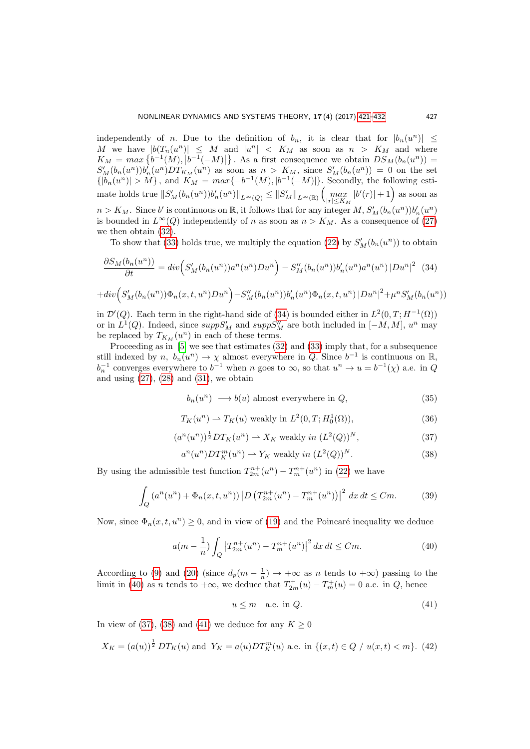independently of *n*. Due to the definition of  $b_n$ , it is clear that for  $|b_n(u^n)| \leq$ M we have  $|b(T_n(u^n))| \leq M$  and  $|u^n| < K_M$  as soon as  $n > K_M$  and where  $K_M = max\left\{b^{-1}(M), |b^{-1}(-M)|\right\}.$  As a first consequence we obtain  $DS_M(b_n(u^n)) =$  $S'_M(b_n(u^n))b_n^{r}(u^n)DT_{K_M}(u^n)$  as soon as  $n > K_M$ , since  $S'_M(b_n(u^n)) = 0$  on the set  ${|b_n(u^n)| > M}$ , and  $K_M = max{-b^{-1(M), |b^{-1}(-M)|}}$ . Secondly, the following estimate holds true  $||S'_{M}(b_n(u^n))b'_n(u^n)||_{L^{\infty}(Q)} \leq ||S'_{M}||_{L^{\infty}(\mathbb{R})} \left(\max_{|r| \leq K_M} |b'(r)| + 1\right)$  as soon as  $n > K_M$ . Since b' is continuous on  $\mathbb{R}$ , it follows that for any integer  $M$ ,  $S'_M(b_n(u^n))b'_n(u^n)$ is bounded in  $L^{\infty}(Q)$  independently of n as soon as  $n > K_M$ . As a consequence of [\(27\)](#page-5-2) we then obtain [\(32\)](#page-5-3).

To show that [\(33\)](#page-5-4) holds true, we multiply the equation [\(22\)](#page-4-3) by  $S'_{M}(b_n(u^n))$  to obtain

<span id="page-6-0"></span>
$$
\frac{\partial S_M(b_n(u^n))}{\partial t} = div \Big( S'_M(b_n(u^n))a^n(u^n)Du^n \Big) - S''_M(b_n(u^n))b'_n(u^n)a^n(u^n)\,|Du^n|^2 \tag{34}
$$

$$
+ div \Big(S'_M(b_n(u^n)) \Phi_n(x, t, u^n) D u^n\Big) - S''_M(b_n(u^n)) b'_n(u^n) \Phi_n(x, t, u^n) |D u^n|^2 + \mu^n S'_M(b_n(u^n))
$$

in  $\mathcal{D}'(Q)$ . Each term in the right-hand side of [\(34\)](#page-6-0) is bounded either in  $L^2(0,T;H^{-1}(\Omega))$ or in  $L^1(Q)$ . Indeed, since  $supp S'_{M}$  and  $supp S''_{M}$  are both included in  $[-M, M]$ ,  $u^n$  may be replaced by  $T_{K_M}(u^n)$  in each of these terms.

Proceeding as in [\[5\]](#page-11-10) we see that estimates [\(32\)](#page-5-3) and [\(33\)](#page-5-4) imply that, for a subsequence still indexed by  $n, b_n(u^n) \to \chi$  almost everywhere in Q. Since  $b^{-1}$  is continuous on R,  $b_n^{-1}$  converges everywhere to  $b^{-1}$  when n goes to  $\infty$ , so that  $u^n \to u = b^{-1}(\chi)$  a.e. in Q and using  $(27)$ ,  $(28)$  and  $(31)$ , we obtain

<span id="page-6-5"></span>
$$
b_n(u^n) \longrightarrow b(u) \text{ almost everywhere in } Q,
$$
\n(35)

<span id="page-6-6"></span>
$$
T_K(u^n) \rightharpoonup T_K(u) \text{ weakly in } L^2(0, T; H_0^1(\Omega)),\tag{36}
$$

<span id="page-6-2"></span>
$$
(an(un))1 D TK(un) \rightharpoonup XK weakly in (L2(Q))N,
$$
\n(37)

<span id="page-6-3"></span>
$$
a^{n}(u^{n})DT_{K}^{m}(u^{n}) \rightharpoonup Y_{K} \text{ weakly in } (L^{2}(Q))^{N}.
$$
\n(38)

By using the admissible test function  $T_{2m}^{n+}(u^n) - T_m^{n+}(u^n)$  in [\(22\)](#page-4-3) we have

$$
\int_{Q} \left( a^{n}(u^{n}) + \Phi_{n}(x, t, u^{n}) \right) \left| D \left( T_{2m}^{n+}(u^{n}) - T_{m}^{n+}(u^{n}) \right) \right|^{2} dx dt \leq Cm.
$$
 (39)

Now, since  $\Phi_n(x, t, u^n) \geq 0$ , and in view of [\(19\)](#page-4-5) and the Poincaré inequality we deduce

<span id="page-6-1"></span>
$$
a(m - \frac{1}{n}) \int_{Q} \left| T_{2m}^{n+}(u^n) - T_m^{n+}(u^n) \right|^2 dx \, dt \leq Cm. \tag{40}
$$

According to [\(9\)](#page-3-9) and [\(20\)](#page-4-6) (since  $d_p(m-\frac{1}{n}) \to +\infty$  as n tends to  $+\infty$ ) passing to the limit in [\(40\)](#page-6-1) as *n* tends to  $+\infty$ , we deduce that  $T_{2m}^+(u) - T_m^+(u) = 0$  a.e. in Q, hence

<span id="page-6-4"></span>
$$
u \le m \quad \text{a.e. in } Q. \tag{41}
$$

In view of [\(37\)](#page-6-2), [\(38\)](#page-6-3) and [\(41\)](#page-6-4) we deduce for any  $K \geq 0$ 

<span id="page-6-7"></span>
$$
X_K = (a(u))^{\frac{1}{2}} DT_K(u) \text{ and } Y_K = a(u)DT_K^m(u) \text{ a.e. in } \{(x,t) \in Q \mid u(x,t) < m\}. \tag{42}
$$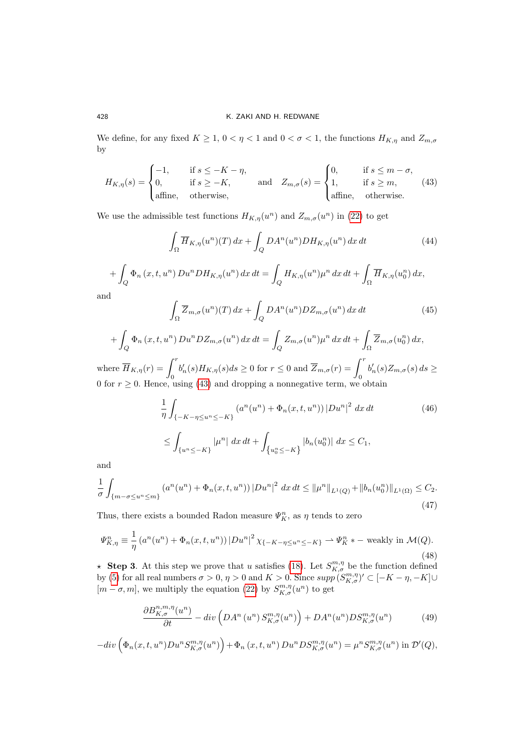We define, for any fixed  $K\geq 1,$   $0<\eta<1$  and  $0<\sigma<1,$  the functions  $H_{K,\eta}$  and  $Z_{m,\sigma}$ by

<span id="page-7-0"></span>
$$
H_{K,\eta}(s) = \begin{cases} -1, & \text{if } s \le -K - \eta, \\ 0, & \text{if } s \ge -K, \\ \text{affine}, & \text{otherwise,} \end{cases} \quad \text{and} \quad Z_{m,\sigma}(s) = \begin{cases} 0, & \text{if } s \le m - \sigma, \\ 1, & \text{if } s \ge m, \\ \text{affine}, & \text{otherwise.} \end{cases} \tag{43}
$$

We use the admissible test functions  $H_{K,\eta}(u^n)$  and  $Z_{m,\sigma}(u^n)$  in [\(22\)](#page-4-3) to get

$$
\int_{\Omega} \overline{H}_{K,\eta}(u^n)(T) dx + \int_{Q} DA^n(u^n) DH_{K,\eta}(u^n) dx dt \tag{44}
$$

$$
+ \int_{Q} \Phi_n(x, t, u^n) D u^n D H_{K, \eta}(u^n) dx dt = \int_{Q} H_{K, \eta}(u^n) \mu^n dx dt + \int_{\Omega} \overline{H}_{K, \eta}(u_0^n) dx,
$$
d

an

$$
\int_{\Omega} \overline{Z}_{m,\sigma}(u^n)(T) dx + \int_{Q} DA^n(u^n) DZ_{m,\sigma}(u^n) dx dt \tag{45}
$$

$$
+\int_{Q} \Phi_n(x, t, u^n) D u^n D Z_{m,\sigma}(u^n) dx dt = \int_{Q} Z_{m,\sigma}(u^n) \mu^n dx dt + \int_{\Omega} \overline{Z}_{m,\sigma}(u_0^n) dx,
$$
  

$$
-\int_{\Gamma}^r
$$

where  $\overline{H}_{K,\eta}(r) = \int_0^r$  $b'_n(s)H_{K,\eta}(s)ds \ge 0$  for  $r \le 0$  and  $\overline{Z}_{m,\sigma}(r) = \int_0^r$  $b'_n(s)Z_{m,\sigma}(s) ds \geq$ 0 for  $r \geq 0$ . Hence, using [\(43\)](#page-7-0) and dropping a nonnegative term, we obtain

<span id="page-7-3"></span>
$$
\frac{1}{\eta} \int_{\{-K - \eta \le u^n \le -K\}} (a^n(u^n) + \Phi_n(x, t, u^n)) |Du^n|^2 \, dx \, dt \tag{46}
$$
\n
$$
\le \int_{\{u^n \le -K\}} |\mu^n| \, dx \, dt + \int_{\{u_0^n \le -K\}} |b_n(u_0^n)| \, dx \le C_1,
$$

and

<span id="page-7-4"></span>
$$
\frac{1}{\sigma} \int_{\{m-\sigma \le u^n \le m\}} \left( a^n(u^n) + \Phi_n(x, t, u^n) \right) \left| Du^n \right|^2 \, dx \, dt \le \|\mu^n\|_{L^1(Q)} + \|b_n(u_0^n)\|_{L^1(\Omega)} \le C_2. \tag{47}
$$

Thus, there exists a bounded Radon measure  $\varPsi^n_K$  as  $\eta$  tends to zero

<span id="page-7-1"></span>
$$
\Psi_{K,\eta}^{n} \equiv \frac{1}{\eta} \left( a^{n} (u^{n}) + \Phi_{n}(x, t, u^{n}) \right) |Du^{n}|^{2} \chi_{\{-K - \eta \le u^{n} \le -K\}} \rightharpoonup \Psi_{K}^{n} * - \text{ weakly in } \mathcal{M}(Q). \tag{48}
$$

**\*** Step 3. At this step we prove that u satisfies [\(18\)](#page-4-2). Let  $S^{m,\eta}_{K,\sigma}$  be the function defined by [\(5\)](#page-3-10) for all real numbers  $\sigma > 0$ ,  $\eta > 0$  and  $K > 0$ . Since  $supp(S^{m,\eta}_{K,\sigma})' \subset [-K - \eta, -K] \cup$  $[m - \sigma, m]$ , we multiply the equation [\(22\)](#page-4-3) by  $S^{m, \eta}_{K, \sigma}(u^n)$  to get

<span id="page-7-2"></span>
$$
\frac{\partial B_{K,\sigma}^{n,m,\eta}(u^n)}{\partial t} - \operatorname{div}\left(DA^n\left(u^n\right)S_{K,\sigma}^{m,\eta}(u^n)\right) + DA^n(u^n)DS_{K,\sigma}^{m,\eta}(u^n) \tag{49}
$$

$$
-div\left(\Phi_n(x,t,u^n)Du^nS_{K,\sigma}^{m,\eta}(u^n)\right)+\Phi_n(x,t,u^n)Du^nDS_{K,\sigma}^{m,\eta}(u^n)=\mu^nS_{K,\sigma}^{m,\eta}(u^n)\text{ in }\mathcal{D}'(Q),
$$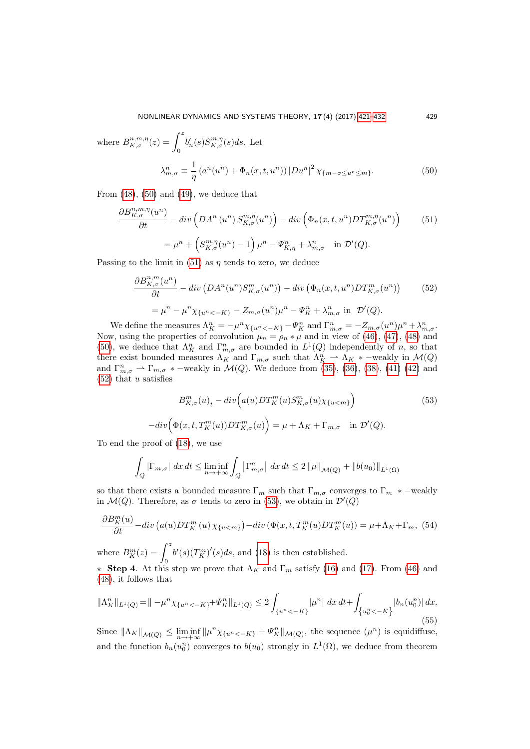where 
$$
B_{K,\sigma}^{n,m,\eta}(z) = \int_0^z b'_n(s) S_{K,\sigma}^{m,\eta}(s) ds
$$
. Let  
\n
$$
\lambda_{m,\sigma}^n \equiv \frac{1}{\eta} \left( a^n(u^n) + \Phi_n(x, t, u^n) \right) |Du^n|^2 \chi_{\{m-\sigma \le u^n \le m\}}.
$$
\n(50)

From  $(48)$ ,  $(50)$  and  $(49)$ , we deduce that

<span id="page-8-1"></span><span id="page-8-0"></span>
$$
\frac{\partial B_{K,\sigma}^{n,m,\eta}(u^n)}{\partial t} - \operatorname{div}\left(DA^n\left(u^n\right)S_{K,\sigma}^{m,\eta}(u^n)\right) - \operatorname{div}\left(\Phi_n(x,t,u^n)DT_{K,\sigma}^{m,\eta}(u^n)\right) \tag{51}
$$
\n
$$
= \mu^n + \left(S_{K,\sigma}^{m,\eta}(u^n) - 1\right)\mu^n - \Psi_{K,\eta}^n + \lambda_{m,\sigma}^n \quad \text{in } \mathcal{D}'(Q).
$$

Passing to the limit in [\(51\)](#page-8-1) as  $\eta$  tends to zero, we deduce

<span id="page-8-2"></span>
$$
\frac{\partial B_{K,\sigma}^{n,m}(u^n)}{\partial t} - \operatorname{div}\left(DA^n(u^n)S_{K,\sigma}^m(u^n)\right) - \operatorname{div}\left(\Phi_n(x,t,u^n)DT_{K,\sigma}^m(u^n)\right) \tag{52}
$$
\n
$$
= \mu^n - \mu^n \chi_{\{u^n < -K\}} - Z_{m,\sigma}(u^n)\mu^n - \Psi_K^n + \lambda_{m,\sigma}^n \text{ in } \mathcal{D}'(Q).
$$

We define the measures  $\Lambda_K^n = -\mu^n \chi_{\{u^n < -K\}} - \Psi_K^n$  and  $\Gamma_{m,\sigma}^n = -Z_{m,\sigma}(u^n)\mu^n + \lambda_{m,\sigma}^n$ . Now, using the properties of convolution  $\mu_n = \rho_n * \mu$  and in view of [\(46\)](#page-7-3), [\(47\)](#page-7-4), [\(48\)](#page-7-1) and [\(50\)](#page-8-0), we deduce that  $\Lambda_K^n$  and  $\Gamma_{m,\sigma}^n$  are bounded in  $L^1(Q)$  independently of n, so that there exist bounded measures  $\Lambda_K$  and  $\Gamma_{m,\sigma}$  such that  $\Lambda_K^n \rightharpoonup \Lambda_K *$  –weakly in  $\mathcal{M}(Q)$ and  $\Gamma_{m,\sigma}^n \rightharpoonup \Gamma_{m,\sigma}$  \* –weakly in  $\mathcal{M}(Q)$ . We deduce from [\(35\)](#page-6-5), [\(36\)](#page-6-6), [\(38\)](#page-6-3), [\(41\)](#page-6-4) [\(42\)](#page-6-7) and  $(52)$  that u satisfies

<span id="page-8-3"></span>
$$
B_{K,\sigma}^{m}(u)_{t} - div\Big(a(u)DT_{K}^{m}(u)S_{K,\sigma}^{m}(u)\chi_{\{u
$$
-div\Big(\Phi(x,t,T_{K}^{m}(u))DT_{K,\sigma}^{m}(u)\Big) = \mu + \Lambda_{K} + \Gamma_{m,\sigma} \quad \text{in } \mathcal{D}'(Q).
$$
$$

To end the proof of [\(18\)](#page-4-2), we use

$$
\int_{Q} |\Gamma_{m,\sigma}| \, dx \, dt \le \liminf_{n \to +\infty} \int_{Q} |\Gamma_{m,\sigma}^{n}| \, dx \, dt \le 2 \|\mu\|_{\mathcal{M}(Q)} + \|b(u_0)\|_{L^{1}(\Omega)}
$$

so that there exists a bounded measure  $\Gamma_m$  such that  $\Gamma_{m,\sigma}$  converges to  $\Gamma_m$  \* –weakly in  $\mathcal{M}(Q)$ . Therefore, as  $\sigma$  tends to zero in [\(53\)](#page-8-3), we obtain in  $\mathcal{D}'(Q)$ 

$$
\frac{\partial B_K^m(u)}{\partial t} - div\left(a(u)DT_K^m(u)\chi_{\{u
$$

where  $B_K^m(z) = \int_0^z$  $b'(s)(T_K^m)'(s)ds$ , and [\(18\)](#page-4-2) is then established.

 $\star$  Step 4. At this step we prove that  $\Lambda_K$  and  $\Gamma_m$  satisfy [\(16\)](#page-3-3) and [\(17\)](#page-3-4). From [\(46\)](#page-7-3) and [\(48\)](#page-7-1), it follows that

<span id="page-8-4"></span>
$$
\|\Lambda_K^n\|_{L^1(Q)} = \|\mu^n \chi_{\{u^n < -K\}} + \Psi_K^n\|_{L^1(Q)} \le 2 \int_{\{u^n < -K\}} |\mu^n| \, dx \, dt + \int_{\{u_0^n < -K\}} |b_n(u_0^n)| \, dx. \tag{55}
$$

Since  $\|\Lambda_K\|_{\mathcal{M}(Q)} \leq \liminf_{n \to +\infty} \|\mu^n \chi_{\{u^n < -K\}} + \Psi_K^n\|_{\mathcal{M}(Q)}$ , the sequence  $(\mu^n)$  is equidiffuse, and the function  $b_n(u_0^n)$  converges to  $b(u_0)$  strongly in  $L^1(\Omega)$ , we deduce from theorem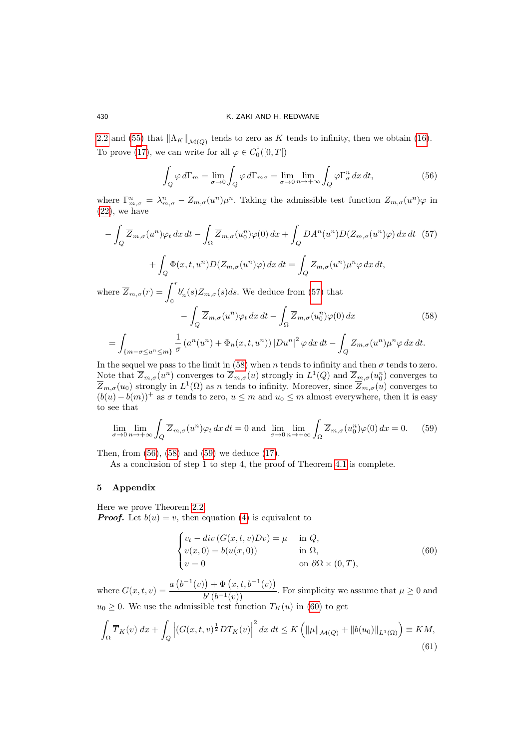[2.2](#page-2-1) and [\(55\)](#page-8-4) that  $\|\Lambda_K\|_{\mathcal{M}(Q)}$  tends to zero as K tends to infinity, then we obtain [\(16\)](#page-3-3). To prove [\(17\)](#page-3-4), we can write for all  $\varphi \in C_0^1([0, T])$ 

<span id="page-9-3"></span>
$$
\int_{Q} \varphi \, d\Gamma_m = \lim_{\sigma \to 0} \int_{Q} \varphi \, d\Gamma_{m\sigma} = \lim_{\sigma \to 0} \lim_{n \to +\infty} \int_{Q} \varphi \Gamma_{\sigma}^n \, dx \, dt,\tag{56}
$$

where  $\Gamma_{m,\sigma}^n = \lambda_{m,\sigma}^n - Z_{m,\sigma}(u^n) \mu^n$ . Taking the admissible test function  $Z_{m,\sigma}(u^n) \varphi$  in  $(22)$ , we have

<span id="page-9-1"></span>
$$
-\int_{Q} \overline{Z}_{m,\sigma}(u^{n})\varphi_{t} dx dt - \int_{\Omega} \overline{Z}_{m,\sigma}(u_{0}^{n})\varphi(0) dx + \int_{Q} DA^{n}(u^{n})D(Z_{m,\sigma}(u^{n})\varphi) dx dt \quad (57)
$$

$$
+\int_{Q} \Phi(x,t,u^{n})D(Z_{m,\sigma}(u^{n})\varphi) dx dt = \int_{Q} Z_{m,\sigma}(u^{n})\mu^{n}\varphi dx dt,
$$

where  $\overline{Z}_{m,\sigma}(r) = \int_0^r$  $b'_n(s)Z_{m,\sigma}(s)ds$ . We deduce from [\(57\)](#page-9-1) that

<span id="page-9-2"></span>
$$
-\int_{Q} \overline{Z}_{m,\sigma}(u^{n})\varphi_{t} dx dt - \int_{\Omega} \overline{Z}_{m,\sigma}(u_{0}^{n})\varphi(0) dx
$$
\n
$$
=\int_{\{m-\sigma\leq u^{n}\leq m\}} \frac{1}{\sigma} \left(a^{n}(u^{n}) + \Phi_{n}(x,t,u^{n})\right) |Du^{n}|^{2} \varphi dx dt - \int_{Q} Z_{m,\sigma}(u^{n})\mu^{n} \varphi dx dt.
$$
\n(58)

In the sequel we pass to the limit in [\(58\)](#page-9-2) when n tends to infinity and then  $\sigma$  tends to zero. Note that  $\overline{Z}_{m,\sigma}(u^n)$  converges to  $\overline{Z}_{m,\sigma}(u)$  strongly in  $L^1(Q)$  and  $\overline{Z}_{m,\sigma}(u_0^n)$  converges to  $\overline{Z}_{m,\sigma}(u_0)$  strongly in  $L^1(\Omega)$  as n tends to infinity. Moreover, since  $\overline{Z}_{m,\sigma}(u)$  converges to  $(b(u) - b(m))$ <sup>+</sup> as  $\sigma$  tends to zero,  $u \leq m$  and  $u_0 \leq m$  almost everywhere, then it is easy to see that

<span id="page-9-4"></span>
$$
\lim_{\sigma \to 0} \lim_{n \to +\infty} \int_{Q} \overline{Z}_{m,\sigma}(u^n) \varphi_t \, dx \, dt = 0 \text{ and } \lim_{\sigma \to 0} \lim_{n \to +\infty} \int_{\Omega} \overline{Z}_{m,\sigma}(u_0^n) \varphi(0) \, dx = 0. \tag{59}
$$

Then, from [\(56\)](#page-9-3), [\(58\)](#page-9-2) and [\(59\)](#page-9-4) we deduce [\(17\)](#page-3-4).

As a conclusion of step 1 to step 4, the proof of Theorem [4.1](#page-4-1) is complete.

# <span id="page-9-0"></span>5 Appendix

Here we prove Theorem [2.2.](#page-2-1) **Proof.** Let  $b(u) = v$ , then equation [\(4\)](#page-2-2) is equivalent to

<span id="page-9-5"></span>
$$
\begin{cases}\nv_t - div(G(x, t, v)Dv) = \mu & \text{in } Q, \\
v(x, 0) = b(u(x, 0)) & \text{in } \Omega, \\
v = 0 & \text{on } \partial\Omega \times (0, T),\n\end{cases}
$$
\n(60)

where  $G(x, t, v) = \frac{a(b^{-1}(v)) + \Phi(x, t, b^{-1}(v))}{\Phi(x, t, t)}$  $\frac{b'(b^{-1}(v))}{b'(b^{-1}(v))}$ . For simplicity we assume that  $\mu \geq 0$  and  $u_0 \geq 0$ . We use the admissible test function  $T_K(u)$  in [\(60\)](#page-9-5) to get

$$
\int_{\Omega} \overline{T}_{K}(v) \, dx + \int_{Q} \left| \left( G(x, t, v)^{\frac{1}{2}} DT_{K}(v) \right|^{2} dx \, dt \leq K \left( \|\mu\|_{\mathcal{M}(Q)} + \|b(u_{0})\|_{L^{1}(\Omega)} \right) \equiv KM,
$$
\n(61)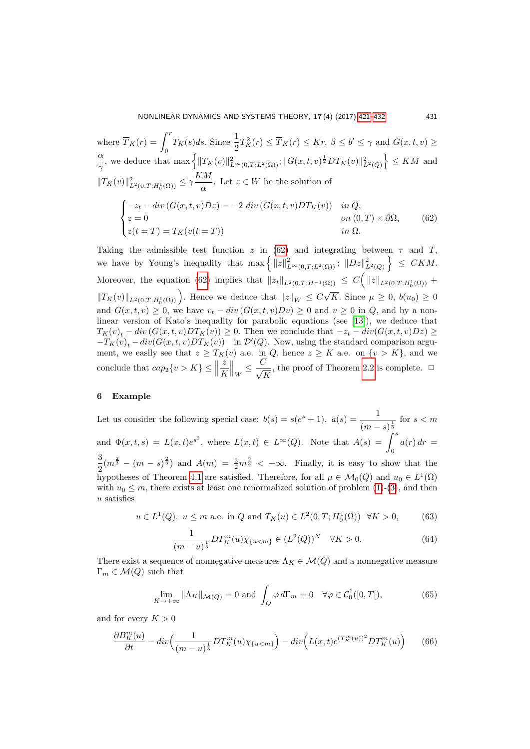where 
$$
\overline{T}_K(r) = \int_0^r T_K(s)ds
$$
. Since  $\frac{1}{2}T_K^2(r) \leq \overline{T}_K(r) \leq Kr, \beta \leq b' \leq \gamma$  and  $G(x, t, v) \geq \frac{\alpha}{\gamma}$ , we deduce that  $\max \left\{ ||T_K(v)||^2_{L^{\infty}(0,T;L^2(\Omega))}; ||G(x, t, v)|^{\frac{1}{2}} DT_K(v)||^2_{L^2(Q)} \right\} \leq KM$  and  $||T_K(v)||^2_{L^2(0,T;H_0^1(\Omega))} \leq \gamma \frac{KM}{\alpha}$ . Let  $z \in W$  be the solution of  

$$
\begin{cases}\n-z_t - div (G(x, t, v)Dz) = -2 \ div (G(x, t, v)DT_K(v)) & \text{in } Q, \\
z = 0 & \text{on } (0,T) \times \partial\Omega, \\
z(t = T) = T_K(v(t = T)) & \text{in } \Omega.\n\end{cases}
$$
(62)

<span id="page-10-0"></span>Taking the admissible test function z in [\(62\)](#page-10-0) and integrating between  $\tau$  and T, we have by Young's inequality that  $\max \left\{ ||z||^2_{L^{\infty}(0,T;L^2(\Omega))} ; ||Dz||^2_{L^2(Q)} \right\} \leq CKM$ . Moreover, the equation [\(62\)](#page-10-0) implies that  $||z_t||_{L^2(0,T;H^{-1}(\Omega))} \leq C(|z||_{L^2(0,T;H_0^1(\Omega))} +$  $||T_K(v)||_{L^2(0,T;H^1_0(\Omega))}$ . Hence we deduce that  $||z||_W \leq C$ √ K. Since  $\mu \geq 0$ ,  $b(u_0) \geq 0$ and  $G(x, t, v) \geq 0$ , we have  $v_t - div(G(x, t, v)Dv) \geq 0$  and  $v \geq 0$  in  $Q$ , and by a nonlinear version of Kato's inequality for parabolic equations (see [\[13\]](#page-11-13)), we deduce that  $T_K(v)_t - div(G(x, t, v)DT_K(v)) \geq 0$ . Then we conclude that  $-z_t - div(G(x, t, v)Dz) \geq 0$  $-T_K(v)_t - div(G(x, t, v)DT_K(v))$  in  $\mathcal{D}'(Q)$ . Now, using the standard comparison argument, we easily see that  $z \geq T_K(v)$  a.e. in  $Q$ , hence  $z \geq K$  a.e. on  $\{v > K\}$ , and we conclude that  $cap_2\{v > K\} \leq$ z K  $\Big\|_W \leq \frac{C}{\sqrt{l}}$ K , the proof of Theorem [2.2](#page-2-1) is complete.  $\Box$ 

# 6 Example

Let us consider the following special case:  $b(s) = s(e^s + 1)$ ,  $a(s) = \frac{1}{s}$  $\frac{1}{(m-s)^{\frac{1}{3}}}$  for  $s < m$ and  $\Phi(x,t,s) = L(x,t)e^{s^2}$ , where  $L(x,t) \in L^{\infty}(Q)$ . Note that  $A(s) = \int^s$ 0  $a(r) dr =$ 3  $\frac{3}{2}(m^{\frac{2}{3}}-(m-s)^{\frac{2}{3}})$  and  $A(m) = \frac{3}{2}m^{\frac{2}{3}} < +\infty$ . Finally, it is easy to show that the hypotheses of Theorem [4.1](#page-4-1) are satisfied. Therefore, for all  $\mu \in \mathcal{M}_0(Q)$  and  $u_0 \in L^1(\Omega)$ with  $u_0 \leq m$ , there exists at least one renormalized solution of problem  $(1)-(3)$  $(1)-(3)$ , and then u satisfies

$$
u \in L^1(Q)
$$
,  $u \le m$  a.e. in Q and  $T_K(u) \in L^2(0,T; H_0^1(\Omega)) \quad \forall K > 0,$  (63)

$$
\frac{1}{(m-u)^{\frac{1}{3}}}DT_K^m(u)\chi_{\{u0.
$$
\n(64)

There exist a sequence of nonnegative measures  $\Lambda_K \in \mathcal{M}(Q)$  and a nonnegative measure  $\Gamma_m \in \mathcal{M}(Q)$  such that

$$
\lim_{K \to +\infty} \|\Lambda_K\|_{\mathcal{M}(Q)} = 0 \text{ and } \int_Q \varphi \, d\Gamma_m = 0 \quad \forall \varphi \in \mathcal{C}_0^1([0, T]), \tag{65}
$$

and for every  $K > 0$ 

$$
\frac{\partial B_K^m(u)}{\partial t} - div \left( \frac{1}{(m-u)^{\frac{1}{3}}} DT_K^m(u) \chi_{\{u < m\}} \right) - div \left( L(x,t) e^{(T_K^m(u))^2} DT_K^m(u) \right) \tag{66}
$$